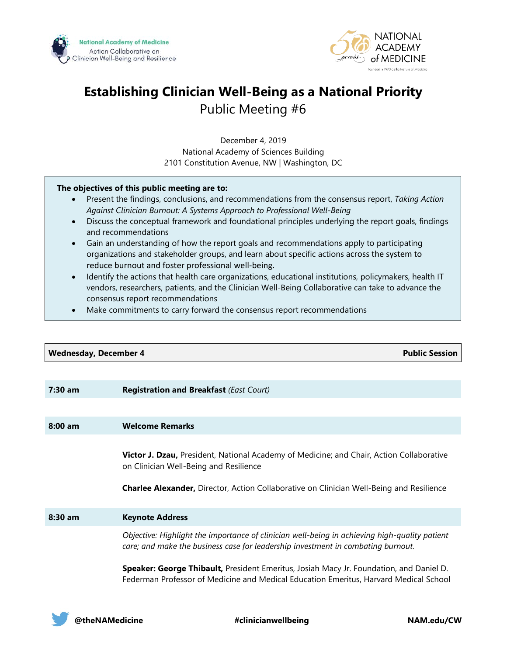



# **Establishing Clinician Well-Being as a National Priority** Public Meeting #6

December 4, 2019 National Academy of Sciences Building 2101 Constitution Avenue, NW | Washington, DC

#### **The objectives of this public meeting are to:**

- Present the findings, conclusions, and recommendations from the consensus report, *Taking Action Against Clinician Burnout: A Systems Approach to Professional Well-Being*
- Discuss the conceptual framework and foundational principles underlying the report goals, findings and recommendations
- Gain an understanding of how the report goals and recommendations apply to participating organizations and stakeholder groups, and learn about specific actions across the system to reduce burnout and foster professional well-being.
- Identify the actions that health care organizations, educational institutions, policymakers, health IT vendors, researchers, patients, and the Clinician Well-Being Collaborative can take to advance the consensus report recommendations
- Make commitments to carry forward the consensus report recommendations

| <b>Wednesday, December 4</b> |                                                                                                                                                                                                                                       |
|------------------------------|---------------------------------------------------------------------------------------------------------------------------------------------------------------------------------------------------------------------------------------|
|                              |                                                                                                                                                                                                                                       |
| $7:30$ am                    | <b>Registration and Breakfast (East Court)</b>                                                                                                                                                                                        |
|                              |                                                                                                                                                                                                                                       |
| $8:00$ am                    | <b>Welcome Remarks</b>                                                                                                                                                                                                                |
|                              | Victor J. Dzau, President, National Academy of Medicine; and Chair, Action Collaborative<br>on Clinician Well-Being and Resilience<br><b>Charlee Alexander, Director, Action Collaborative on Clinician Well-Being and Resilience</b> |
| $8:30$ am                    | <b>Keynote Address</b>                                                                                                                                                                                                                |
|                              | Objective: Highlight the importance of clinician well-being in achieving high-quality patient<br>care; and make the business case for leadership investment in combating burnout.                                                     |
|                              | Speaker: George Thibault, President Emeritus, Josiah Macy Jr. Foundation, and Daniel D.<br>Federman Professor of Medicine and Medical Education Emeritus, Harvard Medical School                                                      |

**@theNAMedicine #clinicianwellbeing NAM.edu/CW**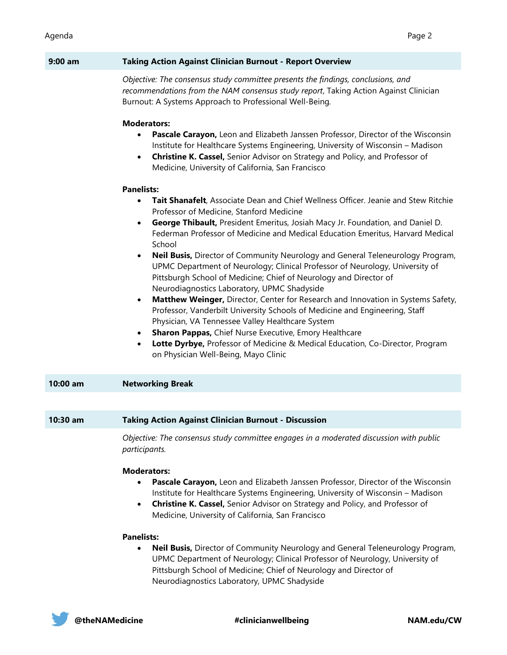| $9:00$ am | <b>Taking Action Against Clinician Burnout - Report Overview</b>                                                                                                                                                                                                                                                                                                                                                                                                                                                                                                                                                                                                                                                                                 |
|-----------|--------------------------------------------------------------------------------------------------------------------------------------------------------------------------------------------------------------------------------------------------------------------------------------------------------------------------------------------------------------------------------------------------------------------------------------------------------------------------------------------------------------------------------------------------------------------------------------------------------------------------------------------------------------------------------------------------------------------------------------------------|
|           | Objective: The consensus study committee presents the findings, conclusions, and<br>recommendations from the NAM consensus study report, Taking Action Against Clinician<br>Burnout: A Systems Approach to Professional Well-Being.                                                                                                                                                                                                                                                                                                                                                                                                                                                                                                              |
|           | <b>Moderators:</b><br>Pascale Carayon, Leon and Elizabeth Janssen Professor, Director of the Wisconsin<br>Institute for Healthcare Systems Engineering, University of Wisconsin - Madison<br>Christine K. Cassel, Senior Advisor on Strategy and Policy, and Professor of<br>$\bullet$<br>Medicine, University of California, San Francisco<br><b>Panelists:</b><br>Tait Shanafelt, Associate Dean and Chief Wellness Officer. Jeanie and Stew Ritchie<br>$\bullet$<br>Professor of Medicine, Stanford Medicine<br>George Thibault, President Emeritus, Josiah Macy Jr. Foundation, and Daniel D.<br>$\bullet$<br>Federman Professor of Medicine and Medical Education Emeritus, Harvard Medical<br>School                                       |
|           | Neil Busis, Director of Community Neurology and General Teleneurology Program,<br>$\bullet$<br>UPMC Department of Neurology; Clinical Professor of Neurology, University of<br>Pittsburgh School of Medicine; Chief of Neurology and Director of<br>Neurodiagnostics Laboratory, UPMC Shadyside<br>Matthew Weinger, Director, Center for Research and Innovation in Systems Safety,<br>$\bullet$<br>Professor, Vanderbilt University Schools of Medicine and Engineering, Staff<br>Physician, VA Tennessee Valley Healthcare System<br>Sharon Pappas, Chief Nurse Executive, Emory Healthcare<br>$\bullet$<br>Lotte Dyrbye, Professor of Medicine & Medical Education, Co-Director, Program<br>$\bullet$<br>on Physician Well-Being, Mayo Clinic |
| 10:00 am  | <b>Networking Break</b>                                                                                                                                                                                                                                                                                                                                                                                                                                                                                                                                                                                                                                                                                                                          |
|           |                                                                                                                                                                                                                                                                                                                                                                                                                                                                                                                                                                                                                                                                                                                                                  |
| 10:30 am  | <b>Taking Action Against Clinician Burnout - Discussion</b>                                                                                                                                                                                                                                                                                                                                                                                                                                                                                                                                                                                                                                                                                      |
|           | Objective: The consensus study committee engages in a moderated discussion with public<br>participants.                                                                                                                                                                                                                                                                                                                                                                                                                                                                                                                                                                                                                                          |
|           | <b>Moderators:</b><br>Pascale Carayon, Leon and Elizabeth Janssen Professor, Director of the Wisconsin<br>$\bullet$<br>Institute for Healthcare Systems Engineering, University of Wisconsin - Madison<br>Christine K. Cassel, Senior Advisor on Strategy and Policy, and Professor of<br>$\bullet$<br>Medicine, University of California, San Francisco<br><b>Panelists:</b>                                                                                                                                                                                                                                                                                                                                                                    |
|           | <b>Neil Busis, Director of Community Neurology and General Teleneurology Program,</b><br>UPMC Department of Neurology; Clinical Professor of Neurology, University of<br>Pittsburgh School of Medicine; Chief of Neurology and Director of                                                                                                                                                                                                                                                                                                                                                                                                                                                                                                       |

Neurodiagnostics Laboratory, UPMC Shadyside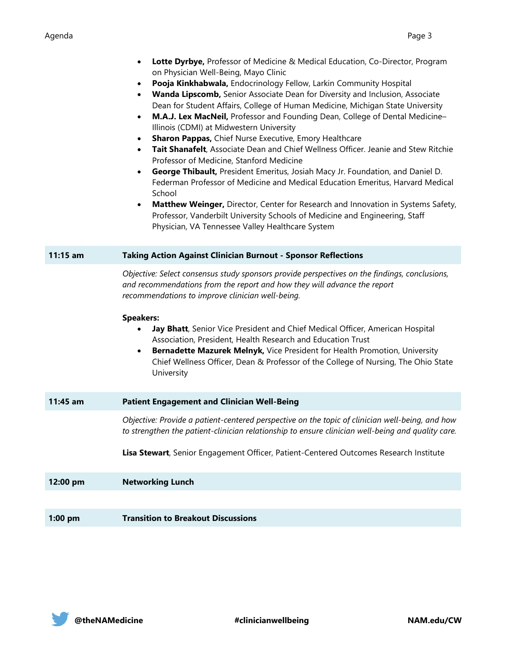## Agenda Page 3

|            | Lotte Dyrbye, Professor of Medicine & Medical Education, Co-Director, Program<br>$\bullet$<br>on Physician Well-Being, Mayo Clinic<br>Pooja Kinkhabwala, Endocrinology Fellow, Larkin Community Hospital<br>$\bullet$<br>Wanda Lipscomb, Senior Associate Dean for Diversity and Inclusion, Associate<br>$\bullet$<br>Dean for Student Affairs, College of Human Medicine, Michigan State University<br>M.A.J. Lex MacNeil, Professor and Founding Dean, College of Dental Medicine-<br>$\bullet$<br>Illinois (CDMI) at Midwestern University<br>Sharon Pappas, Chief Nurse Executive, Emory Healthcare<br>$\bullet$<br>Tait Shanafelt, Associate Dean and Chief Wellness Officer. Jeanie and Stew Ritchie<br>$\bullet$<br>Professor of Medicine, Stanford Medicine<br>George Thibault, President Emeritus, Josiah Macy Jr. Foundation, and Daniel D.<br>$\bullet$<br>Federman Professor of Medicine and Medical Education Emeritus, Harvard Medical<br>School<br>Matthew Weinger, Director, Center for Research and Innovation in Systems Safety,<br>$\bullet$<br>Professor, Vanderbilt University Schools of Medicine and Engineering, Staff<br>Physician, VA Tennessee Valley Healthcare System |
|------------|----------------------------------------------------------------------------------------------------------------------------------------------------------------------------------------------------------------------------------------------------------------------------------------------------------------------------------------------------------------------------------------------------------------------------------------------------------------------------------------------------------------------------------------------------------------------------------------------------------------------------------------------------------------------------------------------------------------------------------------------------------------------------------------------------------------------------------------------------------------------------------------------------------------------------------------------------------------------------------------------------------------------------------------------------------------------------------------------------------------------------------------------------------------------------------------------------|
| $11:15$ am | <b>Taking Action Against Clinician Burnout - Sponsor Reflections</b>                                                                                                                                                                                                                                                                                                                                                                                                                                                                                                                                                                                                                                                                                                                                                                                                                                                                                                                                                                                                                                                                                                                               |
|            | Objective: Select consensus study sponsors provide perspectives on the findings, conclusions,<br>and recommendations from the report and how they will advance the report<br>recommendations to improve clinician well-being.<br><b>Speakers:</b><br>Jay Bhatt, Senior Vice President and Chief Medical Officer, American Hospital<br>$\bullet$<br>Association, President, Health Research and Education Trust<br>Bernadette Mazurek Melnyk, Vice President for Health Promotion, University<br>$\bullet$<br>Chief Wellness Officer, Dean & Professor of the College of Nursing, The Ohio State<br>University                                                                                                                                                                                                                                                                                                                                                                                                                                                                                                                                                                                      |
| 11:45 am   | <b>Patient Engagement and Clinician Well-Being</b>                                                                                                                                                                                                                                                                                                                                                                                                                                                                                                                                                                                                                                                                                                                                                                                                                                                                                                                                                                                                                                                                                                                                                 |
|            | Objective: Provide a patient-centered perspective on the topic of clinician well-being, and how<br>to strengthen the patient-clinician relationship to ensure clinician well-being and quality care.<br>Lisa Stewart, Senior Engagement Officer, Patient-Centered Outcomes Research Institute                                                                                                                                                                                                                                                                                                                                                                                                                                                                                                                                                                                                                                                                                                                                                                                                                                                                                                      |
| 12:00 pm   | <b>Networking Lunch</b>                                                                                                                                                                                                                                                                                                                                                                                                                                                                                                                                                                                                                                                                                                                                                                                                                                                                                                                                                                                                                                                                                                                                                                            |
|            |                                                                                                                                                                                                                                                                                                                                                                                                                                                                                                                                                                                                                                                                                                                                                                                                                                                                                                                                                                                                                                                                                                                                                                                                    |
| $1:00$ pm  | <b>Transition to Breakout Discussions</b>                                                                                                                                                                                                                                                                                                                                                                                                                                                                                                                                                                                                                                                                                                                                                                                                                                                                                                                                                                                                                                                                                                                                                          |

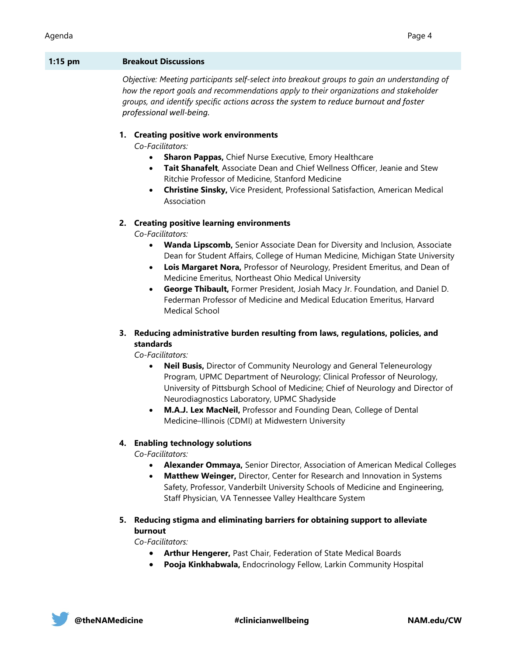#### **1:15 pm Breakout Discussions**

*Objective: Meeting participants self-select into breakout groups to gain an understanding of how the report goals and recommendations apply to their organizations and stakeholder groups, and identify specific actions across the system to reduce burnout and foster professional well-being.* 

#### **1. Creating positive work environments**

*Co-Facilitators:*

- **Sharon Pappas, Chief Nurse Executive, Emory Healthcare**
- **Tait Shanafelt**, Associate Dean and Chief Wellness Officer, Jeanie and Stew Ritchie Professor of Medicine, Stanford Medicine
- **Christine Sinsky,** Vice President, Professional Satisfaction, American Medical Association

#### **2. Creating positive learning environments**

*Co-Facilitators:*

- **Wanda Lipscomb,** Senior Associate Dean for Diversity and Inclusion, Associate Dean for Student Affairs, College of Human Medicine, Michigan State University
- **Lois Margaret Nora,** Professor of Neurology, President Emeritus, and Dean of Medicine Emeritus, Northeast Ohio Medical University
- **George Thibault,** Former President, Josiah Macy Jr. Foundation, and Daniel D. Federman Professor of Medicine and Medical Education Emeritus, Harvard Medical School

## **3. Reducing administrative burden resulting from laws, regulations, policies, and standards**

*Co-Facilitators:*

- **Neil Busis,** Director of Community Neurology and General Teleneurology Program, UPMC Department of Neurology; Clinical Professor of Neurology, University of Pittsburgh School of Medicine; Chief of Neurology and Director of Neurodiagnostics Laboratory, UPMC Shadyside
- **M.A.J. Lex MacNeil,** Professor and Founding Dean, College of Dental Medicine–Illinois (CDMI) at Midwestern University

### **4. Enabling technology solutions**

*Co-Facilitators:*

- **Alexander Ommaya,** Senior Director, Association of American Medical Colleges
- **Matthew Weinger,** Director, Center for Research and Innovation in Systems Safety, Professor, Vanderbilt University Schools of Medicine and Engineering, Staff Physician, VA Tennessee Valley Healthcare System
- **5. Reducing stigma and eliminating barriers for obtaining support to alleviate burnout**

*Co-Facilitators:*

- **Arthur Hengerer,** Past Chair, Federation of State Medical Boards
- **Pooja Kinkhabwala,** Endocrinology Fellow, Larkin Community Hospital

**@theNAMedicine #clinicianwellbeing NAM.edu/CW**